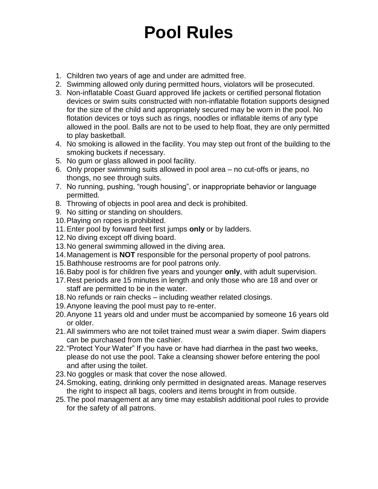## **Pool Rules**

- 1. Children two years of age and under are admitted free.
- 2. Swimming allowed only during permitted hours, violators will be prosecuted.
- 3. Non-inflatable Coast Guard approved life jackets or certified personal flotation devices or swim suits constructed with non-inflatable flotation supports designed for the size of the child and appropriately secured may be worn in the pool. No flotation devices or toys such as rings, noodles or inflatable items of any type allowed in the pool. Balls are not to be used to help float, they are only permitted to play basketball.
- 4. No smoking is allowed in the facility. You may step out front of the building to the smoking buckets if necessary.
- 5. No gum or glass allowed in pool facility.
- 6. Only proper swimming suits allowed in pool area no cut-offs or jeans, no thongs, no see through suits.
- 7. No running, pushing, "rough housing", or inappropriate behavior or language permitted.
- 8. Throwing of objects in pool area and deck is prohibited.
- 9. No sitting or standing on shoulders.
- 10.Playing on ropes is prohibited.
- 11.Enter pool by forward feet first jumps **only** or by ladders.
- 12.No diving except off diving board.
- 13.No general swimming allowed in the diving area.
- 14.Management is **NOT** responsible for the personal property of pool patrons.
- 15.Bathhouse restrooms are for pool patrons only.
- 16.Baby pool is for children five years and younger **only**, with adult supervision.
- 17.Rest periods are 15 minutes in length and only those who are 18 and over or staff are permitted to be in the water.
- 18.No refunds or rain checks including weather related closings.
- 19.Anyone leaving the pool must pay to re-enter.
- 20.Anyone 11 years old and under must be accompanied by someone 16 years old or older.
- 21.All swimmers who are not toilet trained must wear a swim diaper. Swim diapers can be purchased from the cashier.
- 22."Protect Your Water" If you have or have had diarrhea in the past two weeks, please do not use the pool. Take a cleansing shower before entering the pool and after using the toilet.
- 23.No goggles or mask that cover the nose allowed.
- 24.Smoking, eating, drinking only permitted in designated areas. Manage reserves the right to inspect all bags, coolers and items brought in from outside.
- 25.The pool management at any time may establish additional pool rules to provide for the safety of all patrons.